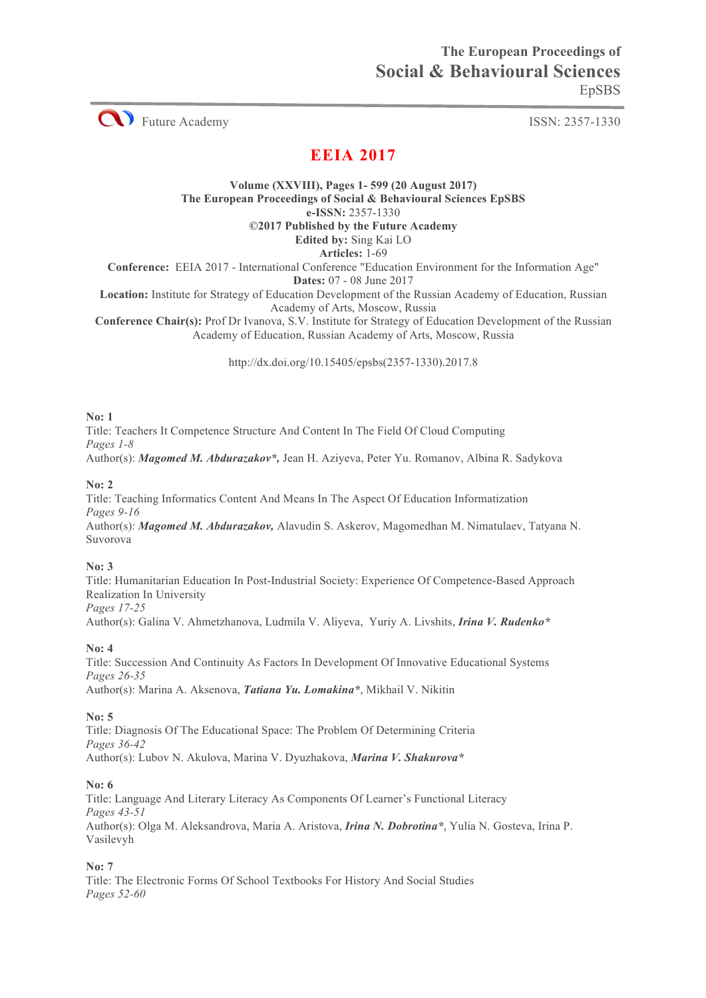

# **EEIA 2017**

**Volume (XXVIII), Pages 1- 599 (20 August 2017) The European Proceedings of Social & Behavioural Sciences EpSBS e-ISSN:** 2357-1330

**©2017 Published by the Future Academy**

**Edited by:** Sing Kai LO **Articles:** 1-69

**Conference:** EEIA 2017 - International Conference "Education Environment for the Information Age"

**Dates:** 07 - 08 June 2017

**Location:** Institute for Strategy of Education Development of the Russian Academy of Education, Russian Academy of Arts, Moscow, Russia

**Conference Chair(s):** Prof Dr Ivanova, S.V. Institute for Strategy of Education Development of the Russian Academy of Education, Russian Academy of Arts, Moscow, Russia

http://dx.doi.org/10.15405/epsbs(2357-1330).2017.8

# **No: 1**

Title: Teachers It Competence Structure And Content In The Field Of Cloud Computing *Pages 1-8* Author(s): *Magomed M. Abdurazakov\*,* Jean H. Aziyeva, Peter Yu. Romanov, Albina R. Sadykova

# **No: 2**

Title: Teaching Informatics Content And Means In The Aspect Of Education Informatization *Pages 9-16* Author(s): *Magomed M. Abdurazakov,* Alavudin S. Askerov, Magomedhan M. Nimatulaev, Tatyana N. Suvorova

# **No: 3**

Title: Humanitarian Education In Post-Industrial Society: Experience Of Competence-Based Approach Realization In University *Pages 17-25*

Author(s): Galina V. Ahmetzhanova, Ludmila V. Aliyeva, Yuriy A. Livshits, *Irina V. Rudenko\**

# **No: 4**

Title: Succession And Continuity As Factors In Development Of Innovative Educational Systems *Pages 26-35* Author(s): Marina А. Aksenova, *Tatiana Yu. Lomakina\**, Mikhail V. Nikitin

# **No: 5**

Title: Diagnosis Of The Educational Space: The Problem Of Determining Criteria *Pages 36-42* Author(s): Lubov N. Akulova, Marina V. Dyuzhakova, *Marina V. Shakurova\**

# **No: 6**

Title: Language And Literary Literacy As Components Of Learner's Functional Literacy *Pages 43-51* Author(s): Olga M. Aleksandrova, Maria A. Aristova, *Irina N. Dobrotina\**, Yulia N. Gosteva, Irina P. Vasilevyh

## **No: 7**

Title: The Electronic Forms Of School Textbooks For History And Social Studies *Pages 52-60*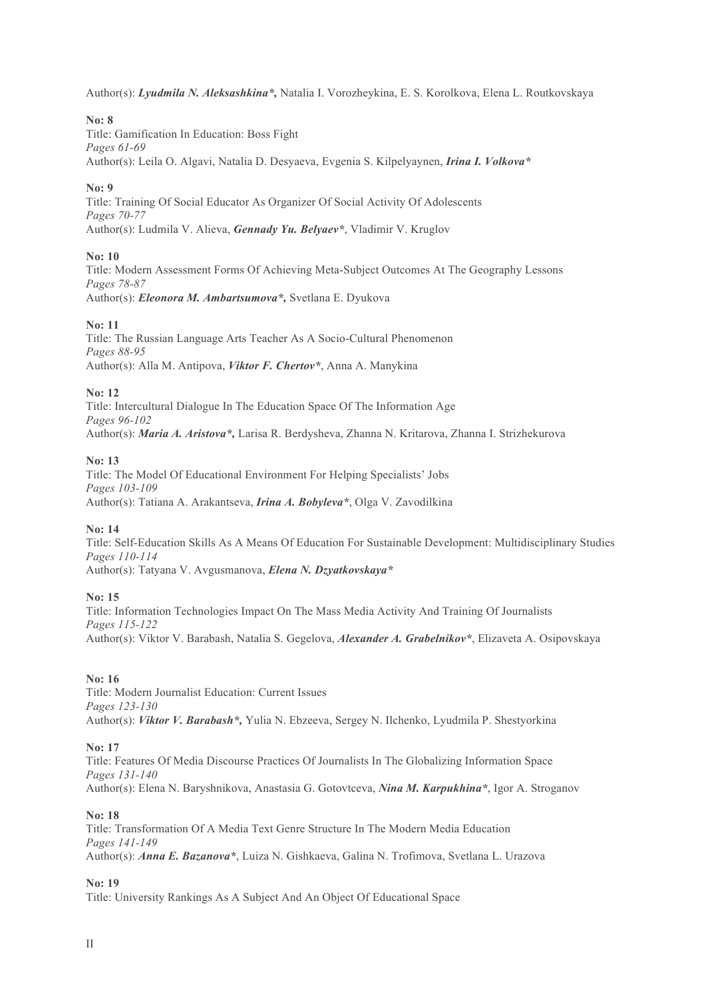Author(s): *Lyudmila N. Aleksashkina\*,* Natalia I. Vorozheykina, E. S. Korolkova, Elena L. Routkovskaya

## **No: 8**

Title: Gamification In Education: Boss Fight *Pages 61-69* Author(s): Leila O. Algavi, Natalia D. Desyaeva, Evgenia S. Kilpelyaynen, *Irina I. Volkova\**

#### **No: 9**

Title: Training Of Social Educator As Organizer Of Social Activity Of Adolescents *Pages 70-77* Author(s): Ludmila V. Alieva, *Gennady Yu. Belyaev\**, Vladimir V. Kruglov

## **No: 10**

Title: Modern Assessment Forms Of Achieving Meta-Subject Outcomes At The Geography Lessons *Pages 78-87* Author(s): *Eleonora M. Ambartsumova\*,* Svetlana E. Dyukova

#### **No: 11**

Title: The Russian Language Arts Teacher As A Socio-Cultural Phenomenon *Pages 88-95* Author(s): Alla M. Antipova, *Viktor F. Chertov\**, Anna A. Manykina

#### **No: 12**

Title: Intercultural Dialogue In The Education Space Of The Information Age *Pages 96-102* Author(s): *Maria A. Aristova\*,* Larisa R. Berdysheva, Zhanna N. Kritarova, Zhanna I. Strizhekurova

#### **No: 13**

Title: The Model Of Educational Environment For Helping Specialists' Jobs *Pages 103-109* Author(s): Tatiana A. Arakantseva, *Irina A. Bobyleva\**, Olga V. Zavodilkina

#### **No: 14**

Title: Self-Education Skills As A Means Of Education For Sustainable Development: Multidisciplinary Studies *Pages 110-114* Author(s): Tatyana V. Avgusmanova, *Elena N. Dzyatkovskaya\**

#### **No: 15**

Title: Information Technologies Impact On The Mass Media Activity And Training Of Journalists *Pages 115-122* Author(s): Viktor V. Barabash, Natalia S. Gegelova, *Alexander A. Grabelnikov\**, Elizaveta A. Osipovskaya

#### **No: 16**

Title: Modern Journalist Education: Current Issues *Pages 123-130* Author(s): *Viktor V. Barabash\*,* Yulia N. Ebzeeva, Sergey N. Ilchenko, Lyudmila P. Shestyorkina

## **No: 17**

Title: Features Of Media Discourse Practices Of Journalists In The Globalizing Information Space *Pages 131-140* Author(s): Elena N. Baryshnikova, Anastasia G. Gotovtceva, *Nina M. Karpukhina\**, Igor A. Stroganov

#### **No: 18**

Title: Transformation Of A Media Text Genre Structure In The Modern Media Education *Pages 141-149* Author(s): *Anna E. Bazanova\**, Luiza N. Gishkaeva, Galina N. Trofimova, Svetlana L. Urazova

#### **No: 19**

Title: University Rankings As A Subject And An Object Of Educational Space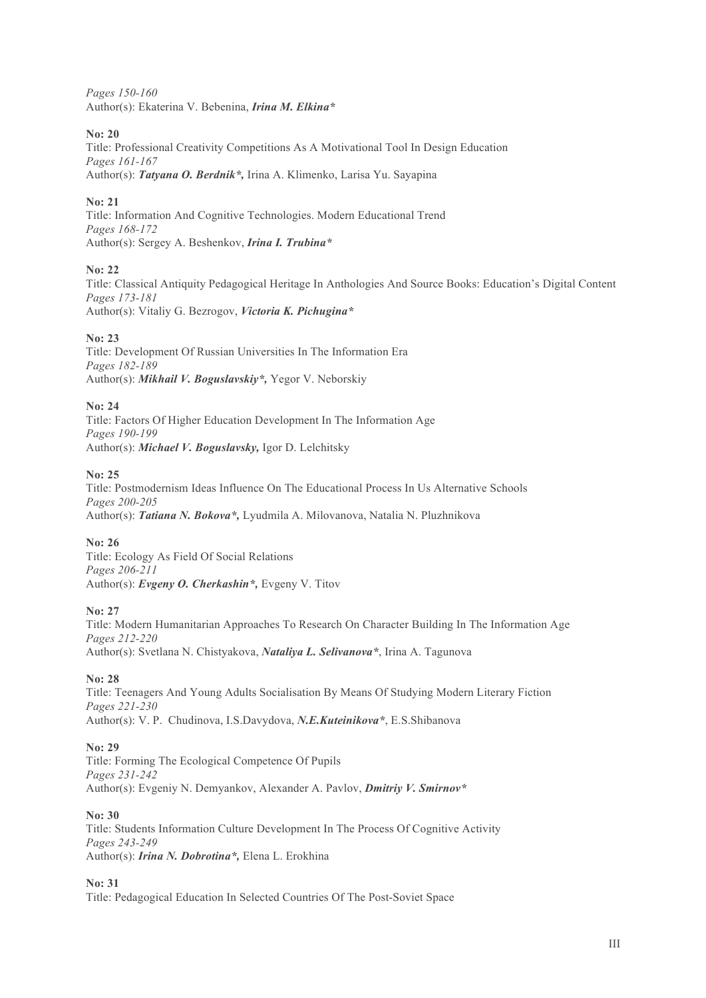*Pages 150-160* Author(s): Ekaterina V. Bebenina, *Irina M. Elkina\**

# **No: 20**

Title: Professional Creativity Competitions As A Motivational Tool In Design Education *Pages 161-167* Author(s): *Tatyana O. Berdnik\*,* Irina A. Klimenko, Larisa Yu. Sayapina

# **No: 21**

Title: Information And Cognitive Technologies. Modern Educational Trend *Pages 168-172* Author(s): Sergey A. Beshenkov, *Irina I. Trubina\**

# **No: 22**

Title: Classical Antiquity Pedagogical Heritage In Anthologies And Source Books: Education's Digital Content *Pages 173-181* Author(s): Vitaliy G. Bezrogov, *Victoria K. Pichugina\**

## **No: 23**

Title: Development Of Russian Universities In The Information Era *Pages 182-189* Author(s): *Mikhail V. Boguslavskiy\*,* Yegor V. Neborskiy

## **No: 24**

Title: Factors Of Higher Education Development In The Information Age *Pages 190-199* Author(s): *Michael V. Boguslavsky,* Igor D. Lelchitsky

## **No: 25**

Title: Postmodernism Ideas Influence On The Educational Process In Us Alternative Schools *Pages 200-205* Author(s): *Tatiana N. Bokova\*,* Lyudmila A. Milovanova, Natalia N. Pluzhnikova

# **No: 26**

Title: Ecology As Field Of Social Relations *Pages 206-211* Author(s): *Evgeny O. Cherkashin\*,* Evgeny V. Titov

## **No: 27**

Title: Modern Humanitarian Approaches To Research On Character Building In The Information Age *Pages 212-220* Author(s): Svetlana N. Chistyakova, *Nataliya L. Selivanova\**, Irina A. Tagunova

## **No: 28**

Title: Teenagers And Young Adults Socialisation By Means Of Studying Modern Literary Fiction *Pages 221-230* Author(s): V. P. Chudinova, I.S.Davydova, *N.E.Kuteinikova\**, E.S.Shibanova

# **No: 29**

Title: Forming The Ecological Competence Of Pupils *Pages 231-242* Author(s): Evgeniy N. Demyankov, Alexander A. Pavlov, *Dmitriy V. Smirnov\**

## **No: 30**

Title: Students Information Culture Development In The Process Of Cognitive Activity *Pages 243-249* Author(s): *Irina N. Dobrotina\*,* Elena L. Erokhina

# **No: 31**

Title: Pedagogical Education In Selected Countries Of The Post-Soviet Space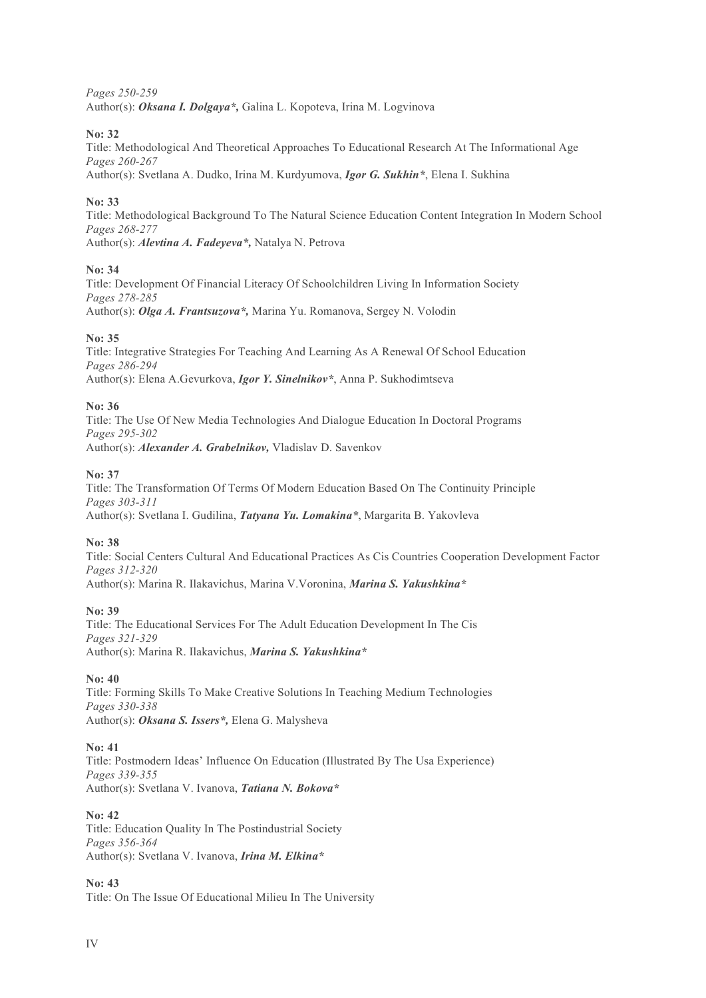*Pages 250-259* Author(s): *Oksana I. Dolgaya\*,* Galina L. Kopoteva, Irina M. Logvinova

**No: 32**

Title: Methodological And Theoretical Approaches To Educational Research At The Informational Age *Pages 260-267*

Author(s): Svetlana A. Dudko, Irina M. Kurdyumova, *Igor G. Sukhin\**, Elena I. Sukhina

# **No: 33**

Title: Methodological Background To The Natural Science Education Content Integration In Modern School *Pages 268-277* Author(s): *Alevtina A. Fadeyeva\*,* Natalya N. Petrova

# **No: 34**

Title: Development Of Financial Literacy Of Schoolchildren Living In Information Society *Pages 278-285* Author(s): *Olga A. Frantsuzova\*,* Marina Yu. Romanova, Sergey N. Volodin

# **No: 35**

Title: Integrative Strategies For Teaching And Learning As A Renewal Of School Education *Pages 286-294* Author(s): Elena A.Gevurkova, *Igor Y. Sinelnikov\**, Anna P. Sukhodimtseva

# **No: 36**

Title: The Use Of New Media Technologies And Dialogue Education In Doctoral Programs *Pages 295-302* Author(s): *Alexander A. Grabelnikov,* Vladislav D. Savenkov

# **No: 37**

Title: The Transformation Of Terms Of Modern Education Based On The Continuity Principle *Pages 303-311* Author(s): Svetlana I. Gudilina, *Tatyana Yu. Lomakina\**, Margarita B. Yakovleva

# **No: 38**

Title: Social Centers Cultural And Educational Practices As Cis Countries Cooperation Development Factor *Pages 312-320* Author(s): Marina R. Ilakavichus, Marina V.Voronina, *Marina S. Yakushkina\**

## **No: 39**

Title: The Educational Services For The Adult Education Development In The Cis *Pages 321-329* Author(s): Marina R. Ilakavichus, *Marina S. Yakushkina\**

## **No: 40**

Title: Forming Skills To Make Creative Solutions In Teaching Medium Technologies *Pages 330-338* Author(s): *Oksana S. Issers\*,* Elena G. Malysheva

# **No: 41**

Title: Postmodern Ideas' Influence On Education (Illustrated By The Usa Experience) *Pages 339-355* Author(s): Svetlana V. Ivanova, *Tatiana N. Bokova\**

## **No: 42**

Title: Education Quality In The Postindustrial Society *Pages 356-364* Author(s): Svetlana V. Ivanova, *Irina M. Elkina\**

**No: 43** Title: On The Issue Of Educational Milieu In The University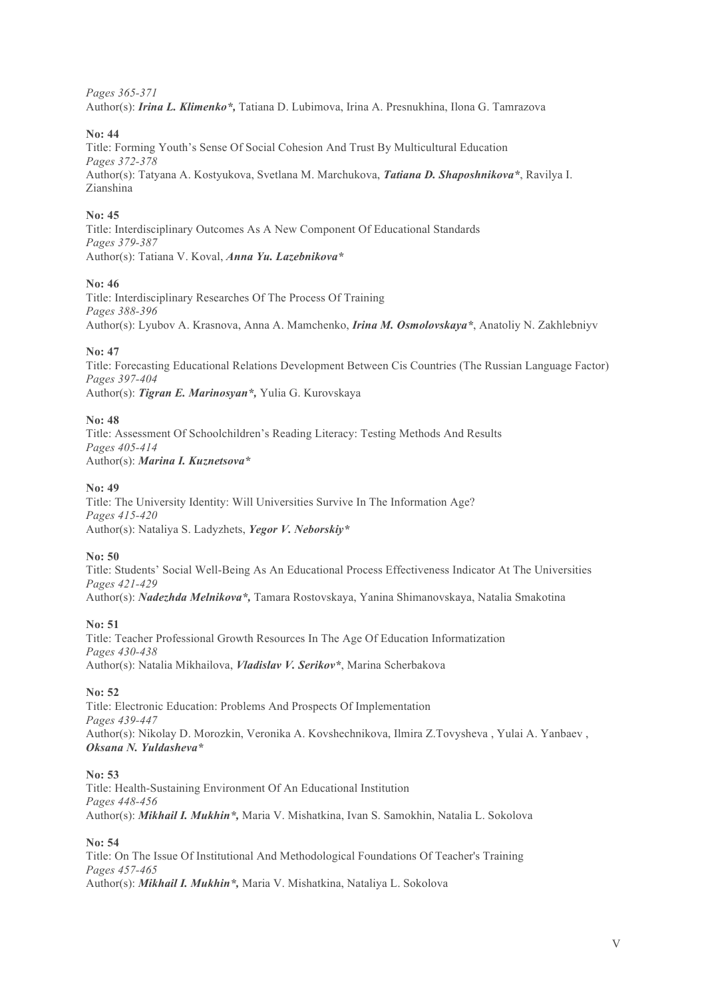*Pages 365-371*

Author(s): *Irina L. Klimenko\*,* Tatiana D. Lubimova, Irina A. Presnukhina, Ilona G. Tamrazova

# **No: 44**

Title: Forming Youth's Sense Of Social Cohesion And Trust By Multicultural Education *Pages 372-378* Author(s): Tatyana A. Kostyukova, Svetlana M. Marchukova, *Tatiana D. Shaposhnikova\**, Ravilya I. Zianshina

# **No: 45**

Title: Interdisciplinary Outcomes As A New Component Of Educational Standards *Pages 379-387* Author(s): Tatiana V. Koval, *Anna Yu. Lazebnikova\**

# **No: 46**

Title: Interdisciplinary Researches Of The Process Of Training *Pages 388-396* Author(s): Lyubov A. Krasnova, Anna A. Mamchenko, *Irina M. Osmolovskaya\**, Anatoliy N. Zakhlebniyv

## **No: 47**

Title: Forecasting Educational Relations Development Between Cis Countries (The Russian Language Factor) *Pages 397-404* Author(s): *Tigran E. Marinosyan\*,* Yulia G. Kurovskaya

## **No: 48**

Title: Assessment Of Schoolchildren's Reading Literacy: Testing Methods And Results *Pages 405-414* Author(s): *Marina I. Kuznetsova\**

## **No: 49**

Title: The University Identity: Will Universities Survive In The Information Age? *Pages 415-420* Author(s): Nataliya S. Ladyzhets, *Yegor V. Neborskiy\**

## **No: 50**

Title: Students' Social Well-Being As An Educational Process Effectiveness Indicator At The Universities *Pages 421-429* Author(s): *Nadezhda Melnikova\*,* Tamara Rostovskaya, Yanina Shimanovskaya, Natalia Smakotina

## **No: 51**

Title: Teacher Professional Growth Resources In The Age Of Education Informatization *Pages 430-438* Author(s): Natalia Mikhailova, *Vladislav V. Serikov\**, Marina Scherbakova

## **No: 52**

Title: Electronic Education: Problems And Prospects Of Implementation *Pages 439-447* Author(s): Nikolay D. Morozkin, Veronika A. Kovshechnikova, Ilmira Z.Tovysheva , Yulai A. Yanbaev , *Oksana N. Yuldasheva\**

## **No: 53**

Title: Health-Sustaining Environment Of An Educational Institution *Pages 448-456* Author(s): *Mikhail I. Mukhin\*,* Maria V. Mishatkina, Ivan S. Samokhin, Natalia L. Sokolova

## **No: 54**

Title: On The Issue Of Institutional And Methodological Foundations Of Teacher's Training *Pages 457-465* Author(s): *Mikhail I. Mukhin\*,* Maria V. Mishatkina, Nataliya L. Sokolova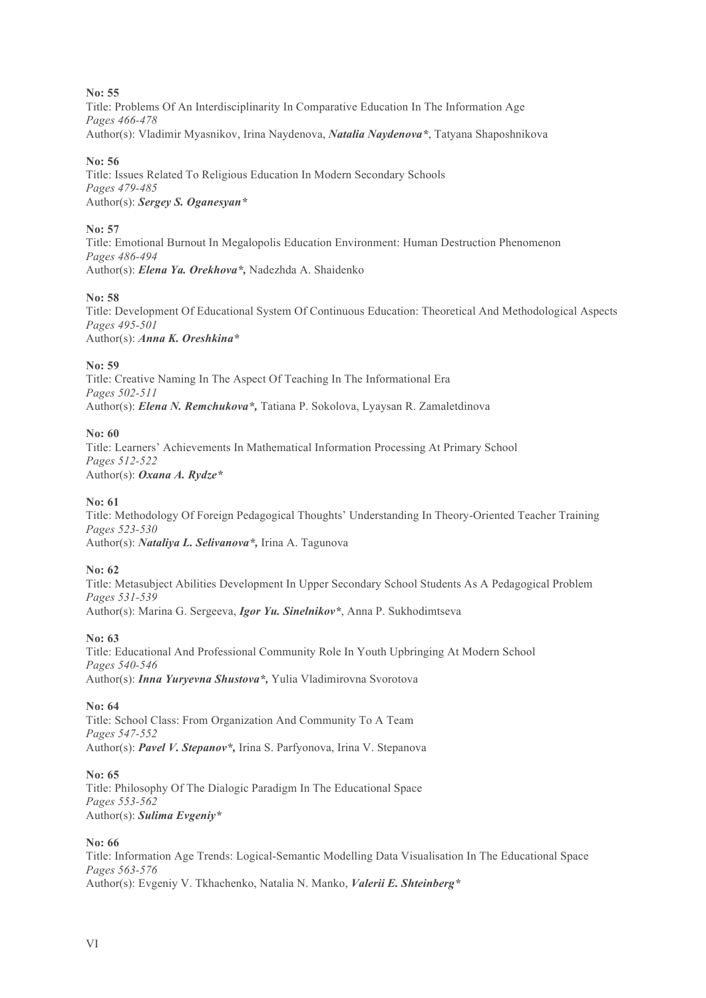## **No: 55**

Title: Problems Of An Interdisciplinarity In Comparative Education In The Information Age *Pages 466-478* Author(s): Vladimir Myasnikov, Irina Naydenova, *Natalia Naydenova\**, Tatyana Shaposhnikova

# **No: 56**

Title: Issues Related To Religious Education In Modern Secondary Schools *Pages 479-485* Author(s): *Sergey S. Oganesyan\**

# **No: 57**

Title: Emotional Burnout In Megalopolis Education Environment: Human Destruction Phenomenon *Pages 486-494* Author(s): *Elena Ya. Orekhova\*,* Nadezhda A. Shaidenko

# **No: 58**

Title: Development Of Educational System Of Continuous Education: Theoretical And Methodological Aspects *Pages 495-501* Author(s): *Anna K. Oreshkina\**

# **No: 59**

Title: Creative Naming In The Aspect Of Teaching In The Informational Era *Pages 502-511* Author(s): *Elena N. Remchukova\*,* Tatiana P. Sokolova, Lyaysan R. Zamaletdinova

# **No: 60**

Title: Learners' Achievements In Mathematical Information Processing At Primary School *Pages 512-522* Author(s): *Oxana A. Rydze\**

## **No: 61**

Title: Methodology Of Foreign Pedagogical Thoughts' Understanding In Theory-Oriented Teacher Training *Pages 523-530* Author(s): *Nataliya L. Selivanova\*,* Irina A. Tagunova

## **No: 62**

Title: Metasubject Abilities Development In Upper Secondary School Students As A Pedagogical Problem *Pages 531-539* Author(s): Marina G. Sergeeva, *Igor Yu. Sinelnikov\**, Anna P. Sukhodimtseva

## **No: 63**

Title: Educational And Professional Community Role In Youth Upbringing At Modern School *Pages 540-546* Author(s): *Inna Yuryevna Shustova\*,* Yulia Vladimirovna Svorotova

# **No: 64**

Title: School Class: From Organization And Community To A Team *Pages 547-552* Author(s): *Pavel V. Stepanov\*,* Irina S. Parfyonova, Irina V. Stepanova

## **No: 65**

Title: Philosophy Of The Dialogic Paradigm In The Educational Space *Pages 553-562* Author(s): *Sulima Evgeniy\**

## **No: 66**

Title: Information Age Trends: Logical-Semantic Modelling Data Visualisation In The Educational Space *Pages 563-576* Author(s): Evgeniy V. Tkhachenko, Natalia N. Manko, *Valerii E. Shteinberg\**